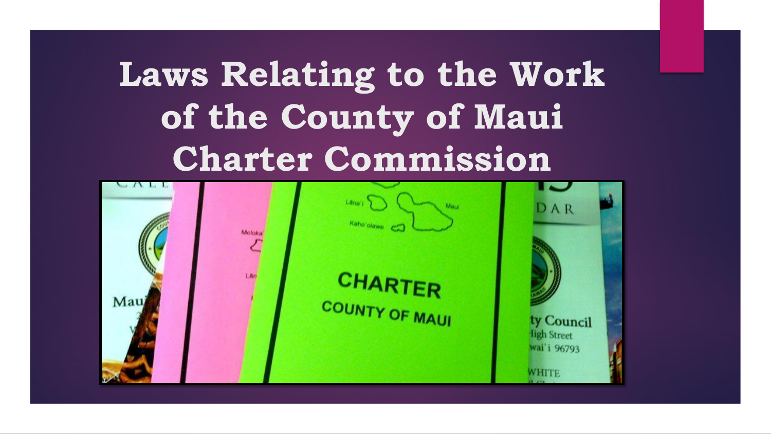# **Laws Relating to the Work of the County of Maui Charter Commission**

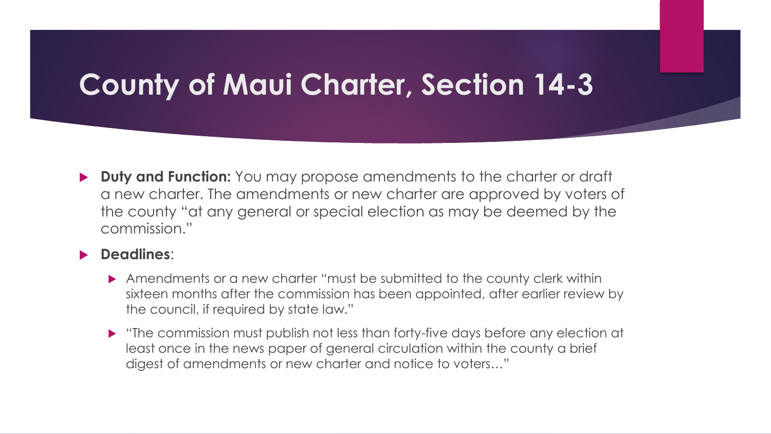### **County of Maui Charter, Section 14-3**

**Duty and Function:** You may propose amendments to the charter or draft a new charter. The amendments or new charter are approved by voters of the county "at any general or special election as may be deemed by the commission."

#### **Deadlines**:

- Amendments or a new charter "must be submitted to the county clerk within sixteen months after the commission has been appointed, after earlier review by the council, if required by state law."
- "The commission must publish not less than forty-five days before any election at least once in the news paper of general circulation within the county a brief digest of amendments or new charter and notice to voters…"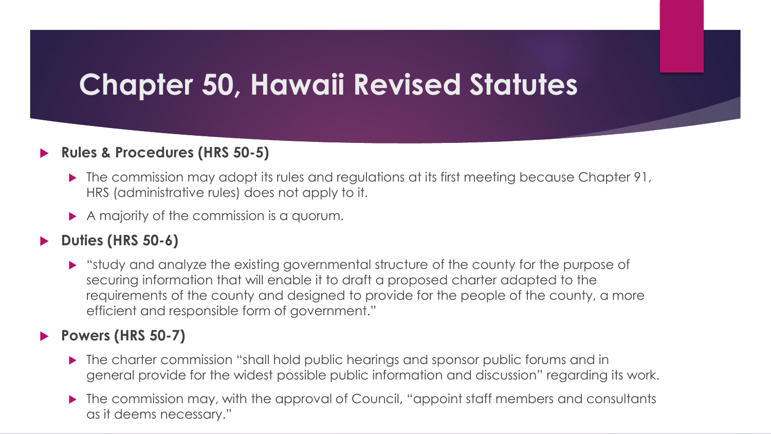### **Chapter 50, Hawaii Revised Statutes**

#### **Rules & Procedures (HRS 50-5)**

- ▶ The commission may adopt its rules and regulations at its first meeting because Chapter 91, HRS (administrative rules) does not apply to it.
- A majority of the commission is a quorum.

#### **Duties (HRS 50-6)**

 "study and analyze the existing governmental structure of the county for the purpose of securing information that will enable it to draft a proposed charter adapted to the requirements of the county and designed to provide for the people of the county, a more efficient and responsible form of government."

#### **Powers (HRS 50-7)**

- The charter commission "shall hold public hearings and sponsor public forums and in general provide for the widest possible public information and discussion" regarding its work.
- The commission may, with the approval of Council, "appoint staff members and consultants" as it deems necessary."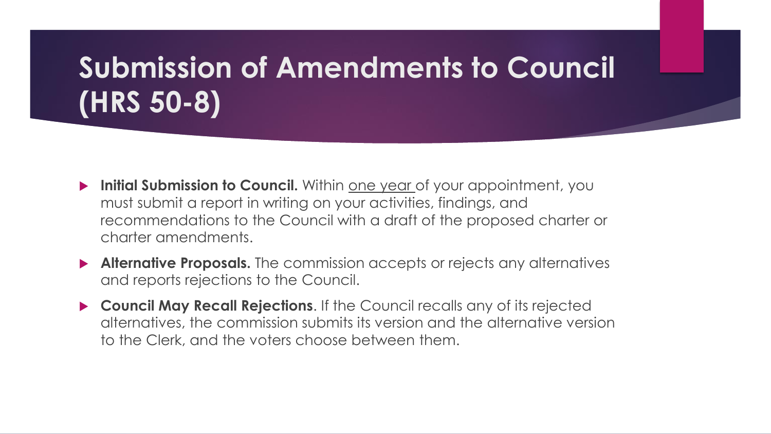## **Submission of Amendments to Council (HRS 50-8)**

- **Initial Submission to Council.** Within one year of your appointment, you must submit a report in writing on your activities, findings, and recommendations to the Council with a draft of the proposed charter or charter amendments.
- **Alternative Proposals.** The commission accepts or rejects any alternatives and reports rejections to the Council.
- **Council May Recall Rejections**. If the Council recalls any of its rejected alternatives, the commission submits its version and the alternative version to the Clerk, and the voters choose between them.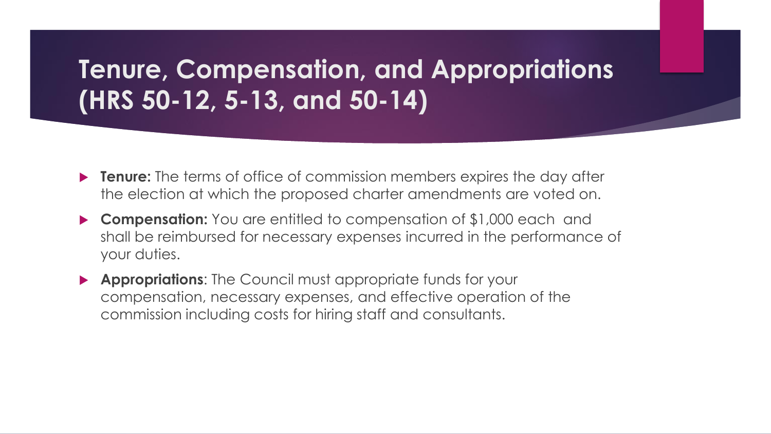### **Tenure, Compensation, and Appropriations (HRS 50-12, 5-13, and 50-14)**

- **Tenure:** The terms of office of commission members expires the day after the election at which the proposed charter amendments are voted on.
- **Compensation:** You are entitled to compensation of \$1,000 each and shall be reimbursed for necessary expenses incurred in the performance of your duties.
- **Appropriations**: The Council must appropriate funds for your compensation, necessary expenses, and effective operation of the commission including costs for hiring staff and consultants.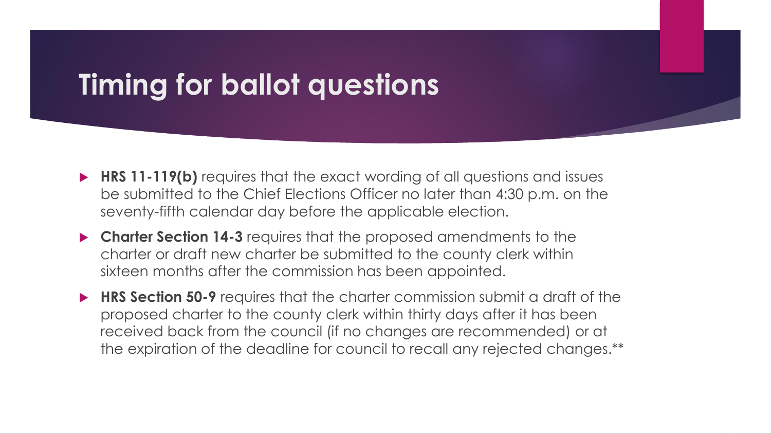### **Timing for ballot questions**

- **HRS 11-119(b)** requires that the exact wording of all questions and issues be submitted to the Chief Elections Officer no later than 4:30 p.m. on the seventy-fifth calendar day before the applicable election.
- **Charter Section 14-3** requires that the proposed amendments to the charter or draft new charter be submitted to the county clerk within sixteen months after the commission has been appointed.
- **HRS Section 50-9** requires that the charter commission submit a draft of the proposed charter to the county clerk within thirty days after it has been received back from the council (if no changes are recommended) or at the expiration of the deadline for council to recall any rejected changes.\*\*